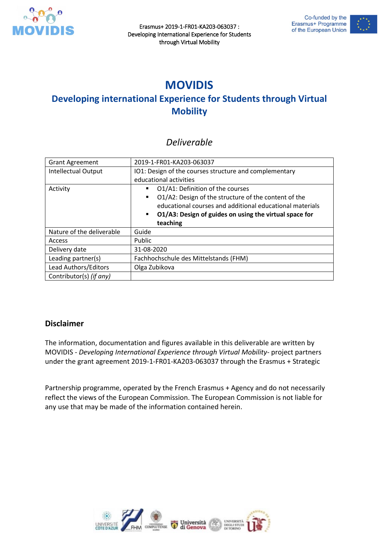

Erasmus+ 2019-1-FR01-KA203-063037 : Developing International Experience for Students through Virtual Mobility



## **MOVIDIS**

## **Developing international Experience for Students through Virtual Mobility**

#### *Deliverable*

| <b>Grant Agreement</b>     | 2019-1-FR01-KA203-063037                                                 |
|----------------------------|--------------------------------------------------------------------------|
| <b>Intellectual Output</b> | IO1: Design of the courses structure and complementary                   |
|                            | educational activities                                                   |
| Activity                   | O1/A1: Definition of the courses<br>٠                                    |
|                            | O1/A2: Design of the structure of the content of the<br>$\blacksquare$   |
|                            | educational courses and additional educational materials                 |
|                            | O1/A3: Design of guides on using the virtual space for<br>$\blacksquare$ |
|                            | teaching                                                                 |
| Nature of the deliverable  | Guide                                                                    |
| Access                     | Public                                                                   |
| Delivery date              | 31-08-2020                                                               |
| Leading partner(s)         | Fachhochschule des Mittelstands (FHM)                                    |
| Lead Authors/Editors       | Olga Zubikova                                                            |
| Contributor(s) (if any)    |                                                                          |

#### **Disclaimer**

The information, documentation and figures available in this deliverable are written by MOVIDIS - *Developing International Experience through Virtual Mobility*- project partners under the grant agreement 2019-1-FR01-KA203-063037 through the Erasmus + Strategic

Partnership programme, operated by the French Erasmus + Agency and do not necessarily reflect the views of the European Commission. The European Commission is not liable for any use that may be made of the information contained herein.

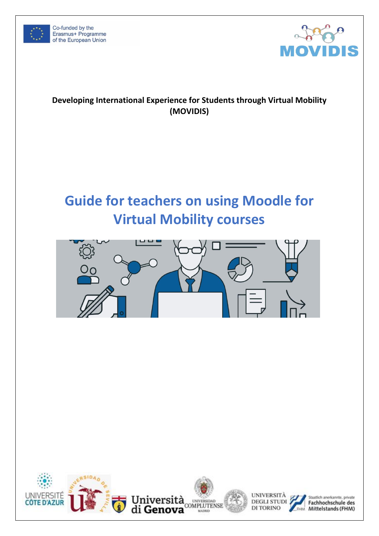



#### **Developing International Experience for Students through Virtual Mobility (MOVIDIS)**

# **Guide for teachers on using Moodle for Virtual Mobility courses**



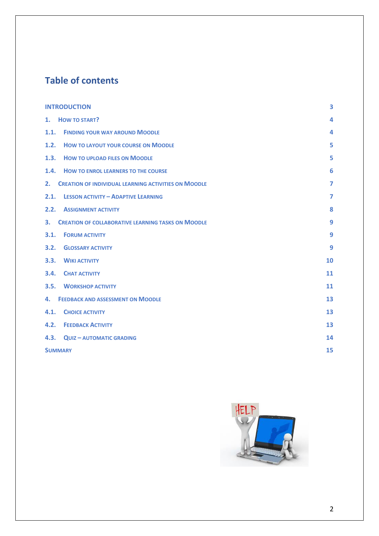## **Table of contents**

|                | <b>INTRODUCTION</b>                                         |                |
|----------------|-------------------------------------------------------------|----------------|
| 1.             | <b>HOW TO START?</b>                                        | 4              |
|                | 1.1. FINDING YOUR WAY AROUND MOODLE                         | 4              |
|                | 1.2. HOW TO LAYOUT YOUR COURSE ON MOODLE                    | 5              |
|                | 1.3. HOW TO UPLOAD FILES ON MOODLE                          | 5              |
|                | 1.4. HOW TO ENROL LEARNERS TO THE COURSE                    | 6              |
| 2.             | <b>CREATION OF INDIVIDUAL LEARNING ACTIVITIES ON MOODLE</b> | $\overline{7}$ |
|                | 2.1. LESSON ACTIVITY - ADAPTIVE LEARNING                    | $\overline{7}$ |
|                | <b>2.2. ASSIGNMENT ACTIVITY</b>                             | 8              |
| 3.             | <b>CREATION OF COLLABORATIVE LEARNING TASKS ON MOODLE</b>   | 9              |
| 3.1.           | <b>FORUM ACTIVITY</b>                                       | 9              |
| 3.2.           | <b>GLOSSARY ACTIVITY</b>                                    | 9              |
|                | 3.3. WIKI ACTIVITY                                          | 10             |
|                | <b>3.4. CHAT ACTIVITY</b>                                   | 11             |
| 3.5.           | <b>WORKSHOP ACTIVITY</b>                                    | 11             |
| 4.             | <b>FEEDBACK AND ASSESSMENT ON MOODLE</b>                    | 13             |
| 4.1.           | <b>CHOICE ACTIVITY</b>                                      | 13             |
|                | <b>4.2. FEEDBACK ACTIVITY</b>                               | 13             |
|                | 4.3. QUIZ-AUTOMATIC GRADING                                 | 14             |
| <b>SUMMARY</b> |                                                             | 15             |

![](_page_2_Picture_2.jpeg)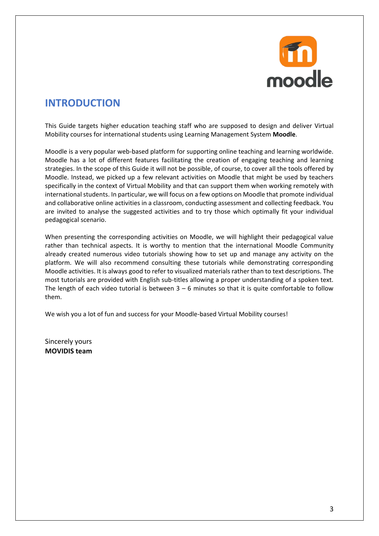![](_page_3_Picture_0.jpeg)

### <span id="page-3-0"></span>**INTRODUCTION**

This Guide targets higher education teaching staff who are supposed to design and deliver Virtual Mobility courses for international students using Learning Management System **Moodle**.

Moodle is a very popular web-based platform for supporting online teaching and learning worldwide. Moodle has a lot of different features facilitating the creation of engaging teaching and learning strategies. In the scope of this Guide it will not be possible, of course, to cover all the tools offered by Moodle. Instead, we picked up a few relevant activities on Moodle that might be used by teachers specifically in the context of Virtual Mobility and that can support them when working remotely with international students. In particular, we will focus on a few options on Moodle that promote individual and collaborative online activities in a classroom, conducting assessment and collecting feedback. You are invited to analyse the suggested activities and to try those which optimally fit your individual pedagogical scenario.

When presenting the corresponding activities on Moodle, we will highlight their pedagogical value rather than technical aspects. It is worthy to mention that the international Moodle Community already created numerous video tutorials showing how to set up and manage any activity on the platform. We will also recommend consulting these tutorials while demonstrating corresponding Moodle activities. It is always good to refer to visualized materials rather than to text descriptions. The most tutorials are provided with English sub-titles allowing a proper understanding of a spoken text. The length of each video tutorial is between  $3 - 6$  minutes so that it is quite comfortable to follow them.

We wish you a lot of fun and success for your Moodle-based Virtual Mobility courses!

Sincerely yours **MOVIDIS team**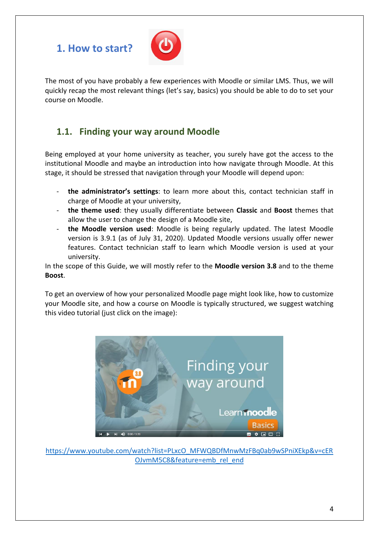## <span id="page-4-0"></span>**1. How to start?**

![](_page_4_Picture_1.jpeg)

The most of you have probably a few experiences with Moodle or similar LMS. Thus, we will quickly recap the most relevant things (let's say, basics) you should be able to do to set your course on Moodle.

#### <span id="page-4-1"></span>**1.1. Finding your way around Moodle**

Being employed at your home university as teacher, you surely have got the access to the institutional Moodle and maybe an introduction into how navigate through Moodle. At this stage, it should be stressed that navigation through your Moodle will depend upon:

- **the administrator's settings**: to learn more about this, contact technician staff in charge of Moodle at your university,
- **the theme used**: they usually differentiate between **Classic** and **Boost** themes that allow the user to change the design of a Moodle site,
- **the Moodle version used**: Moodle is being regularly updated. The latest Moodle version is 3.9.1 (as of July 31, 2020). Updated Moodle versions usually offer newer features. Contact technician staff to learn which Moodle version is used at your university.

In the scope of this Guide, we will mostly refer to the **Moodle version 3.8** and to the theme **Boost**.

To get an overview of how your personalized Moodle page might look like, how to customize your Moodle site, and how a course on Moodle is typically structured, we suggest watching this video tutorial (just click on the image):

![](_page_4_Picture_10.jpeg)

[https://www.youtube.com/watch?list=PLxcO\\_MFWQBDfMnwMzFBq0ab9wSPniXEkp&v=cER](https://www.youtube.com/watch?list=PLxcO_MFWQBDfMnwMzFBq0ab9wSPniXEkp&v=cEROJvmM5C8&feature=emb_rel_end) [OJvmM5C8&feature=emb\\_rel\\_end](https://www.youtube.com/watch?list=PLxcO_MFWQBDfMnwMzFBq0ab9wSPniXEkp&v=cEROJvmM5C8&feature=emb_rel_end)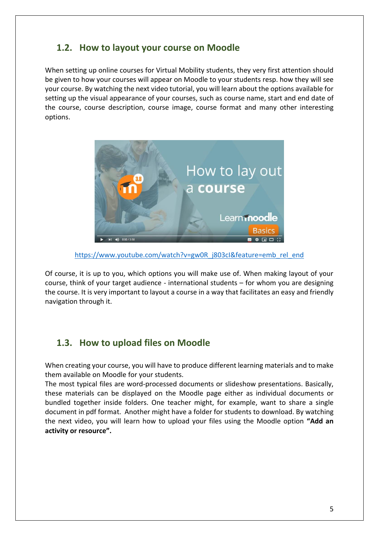#### <span id="page-5-0"></span>**1.2. How to layout your course on Moodle**

When setting up online courses for Virtual Mobility students, they very first attention should be given to how your courses will appear on Moodle to your students resp. how they will see your course. By watching the next video tutorial, you will learn about the options available for setting up the visual appearance of your courses, such as course name, start and end date of the course, course description, course image, course format and many other interesting options.

![](_page_5_Picture_2.jpeg)

[https://www.youtube.com/watch?v=gw0R\\_j803cI&feature=emb\\_rel\\_end](https://www.youtube.com/watch?v=gw0R_j803cI&feature=emb_rel_end)

Of course, it is up to you, which options you will make use of. When making layout of your course, think of your target audience - international students – for whom you are designing the course. It is very important to layout a course in a way that facilitates an easy and friendly navigation through it.

#### <span id="page-5-1"></span>**1.3. How to upload files on Moodle**

When creating your course, you will have to produce different learning materials and to make them available on Moodle for your students.

The most typical files are word-processed documents or slideshow presentations. Basically, these materials can be displayed on the Moodle page either as individual documents or bundled together inside folders. One teacher might, for example, want to share a single document in pdf format. Another might have a folder for students to download. By watching the next video, you will learn how to upload your files using the Moodle option **"Add an activity or resource".**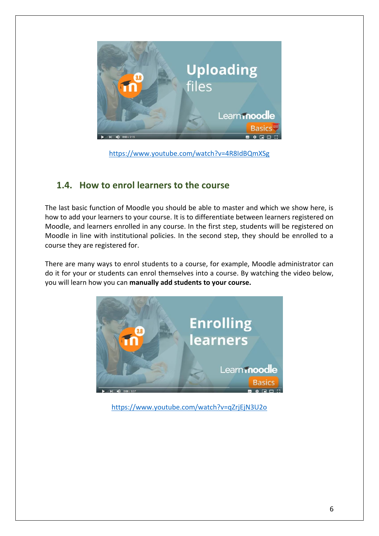![](_page_6_Picture_0.jpeg)

<https://www.youtube.com/watch?v=4R8IdBQmXSg>

#### <span id="page-6-0"></span>**1.4. How to enrol learners to the course**

The last basic function of Moodle you should be able to master and which we show here, is how to add your learners to your course. It is to differentiate between learners registered on Moodle, and learners enrolled in any course. In the first step, students will be registered on Moodle in line with institutional policies. In the second step, they should be enrolled to a course they are registered for.

There are many ways to enrol students to a course, for example, Moodle administrator can do it for your or students can enrol themselves into a course. By watching the video below, you will learn how you can **manually add students to your course.**

![](_page_6_Picture_5.jpeg)

<https://www.youtube.com/watch?v=qZrjEjN3U2o>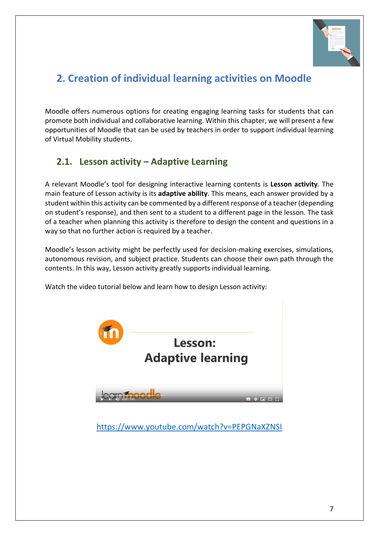![](_page_7_Picture_0.jpeg)

## <span id="page-7-0"></span>**2. Creation of individual learning activities on Moodle**

Moodle offers numerous options for creating engaging learning tasks for students that can promote both individual and collaborative learning. Within this chapter, we will present a few opportunities of Moodle that can be used by teachers in order to support individual learning of Virtual Mobility students.

#### <span id="page-7-1"></span>**2.1. Lesson activity – Adaptive Learning**

A relevant Moodle's tool for designing interactive learning contents is **Lesson activity**. The main feature of Lesson activity is its **adaptive ability**. This means, each answer provided by a student within this activity can be commented by a different response of a teacher (depending on student's response), and then sent to a student to a different page in the lesson. The task of a teacher when planning this activity is therefore to design the content and questions in a way so that no further action is required by a teacher.

Moodle's lesson activity might be perfectly used for decision-making exercises, simulations, autonomous revision, and subject practice. Students can choose their own path through the contents. In this way, Lesson activity greatly supports individual learning.

Watch the video tutorial below and learn how to design Lesson activity:

![](_page_7_Picture_7.jpeg)

<https://www.youtube.com/watch?v=PEPGNaXZNSI>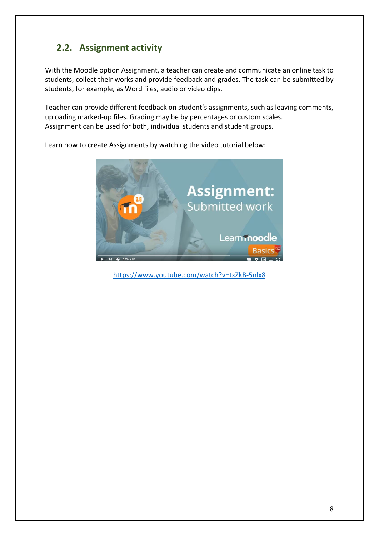## <span id="page-8-0"></span>**2.2. Assignment activity**

With the Moodle option Assignment, a teacher can create and communicate an online task to students, collect their works and provide feedback and grades. The task can be submitted by students, for example, as Word files, audio or video clips.

Teacher can provide different feedback on student's assignments, such as leaving comments, uploading marked-up files. Grading may be by percentages or custom scales. Assignment can be used for both, individual students and student groups.

Learn how to create Assignments by watching the video tutorial below:

![](_page_8_Picture_4.jpeg)

<https://www.youtube.com/watch?v=txZkB-5nlx8>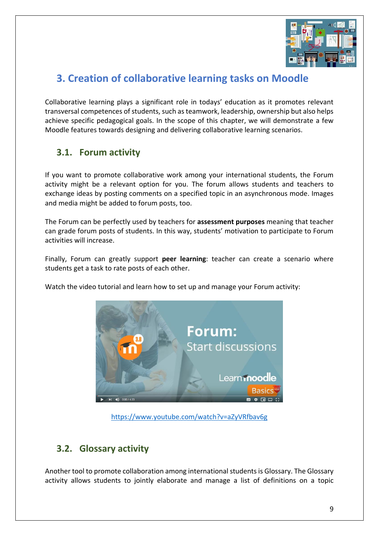![](_page_9_Picture_0.jpeg)

## <span id="page-9-0"></span>**3. Creation of collaborative learning tasks on Moodle**

Collaborative learning plays a significant role in todays' education as it promotes relevant transversal competences of students, such as teamwork, leadership, ownership but also helps achieve specific pedagogical goals. In the scope of this chapter, we will demonstrate a few Moodle features towards designing and delivering collaborative learning scenarios.

#### <span id="page-9-1"></span>**3.1. Forum activity**

If you want to promote collaborative work among your international students, the Forum activity might be a relevant option for you. The forum allows students and teachers to exchange ideas by posting comments on a specified topic in an asynchronous mode. Images and media might be added to forum posts, too.

The Forum can be perfectly used by teachers for **assessment purposes** meaning that teacher can grade forum posts of students. In this way, students' motivation to participate to Forum activities will increase.

Finally, Forum can greatly support **peer learning**: teacher can create a scenario where students get a task to rate posts of each other.

Watch the video tutorial and learn how to set up and manage your Forum activity:

![](_page_9_Picture_8.jpeg)

<https://www.youtube.com/watch?v=aZyVRfbav6g>

#### <span id="page-9-2"></span>**3.2. Glossary activity**

Another tool to promote collaboration among international students is Glossary. The Glossary activity allows students to jointly elaborate and manage a list of definitions on a topic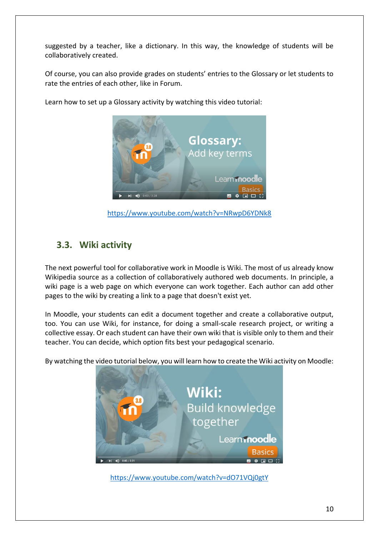suggested by a teacher, like a dictionary. In this way, the knowledge of students will be collaboratively created.

Of course, you can also provide grades on students' entries to the Glossary or let students to rate the entries of each other, like in Forum.

![](_page_10_Picture_2.jpeg)

Learn how to set up a Glossary activity by watching this video tutorial:

<https://www.youtube.com/watch?v=NRwpD6YDNk8>

#### <span id="page-10-0"></span>**3.3. Wiki activity**

The next powerful tool for collaborative work in Moodle is Wiki. The most of us already know Wikipedia source as a collection of collaboratively authored web documents. In principle, a wiki page is a web page on which everyone can work together. Each author can add other pages to the wiki by creating a link to a page that doesn't exist yet.

In Moodle, your students can edit a document together and create a collaborative output, too. You can use Wiki, for instance, for doing a small-scale research project, or writing a collective essay. Or each student can have their own wiki that is visible only to them and their teacher. You can decide, which option fits best your pedagogical scenario.

By watching the video tutorial below, you will learn how to create the Wiki activity on Moodle:

![](_page_10_Picture_9.jpeg)

<https://www.youtube.com/watch?v=dO71VQj0gtY>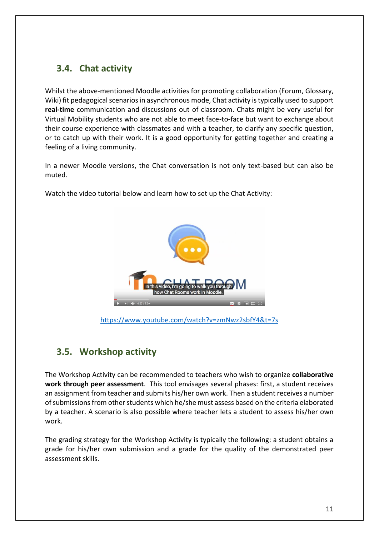### <span id="page-11-0"></span>**3.4. Chat activity**

Whilst the above-mentioned Moodle activities for promoting collaboration (Forum, Glossary, Wiki) fit pedagogical scenarios in asynchronous mode, Chat activity is typically used to support **real-time** communication and discussions out of classroom. Chats might be very useful for Virtual Mobility students who are not able to meet face-to-face but want to exchange about their course experience with classmates and with a teacher, to clarify any specific question, or to catch up with their work. It is a good opportunity for getting together and creating a feeling of a living community.

In a newer Moodle versions, the Chat conversation is not only text-based but can also be muted.

Watch the video tutorial below and learn how to set up the Chat Activity:

![](_page_11_Picture_4.jpeg)

<https://www.youtube.com/watch?v=zmNwz2sbfY4&t=7s>

#### <span id="page-11-1"></span>**3.5. Workshop activity**

The Workshop Activity can be recommended to teachers who wish to organize **collaborative work through peer assessment**. This tool envisages several phases: first, a student receives an assignment from teacher and submits his/her own work. Then a student receives a number of submissions from other students which he/she must assess based on the criteria elaborated by a teacher. A scenario is also possible where teacher lets a student to assess his/her own work.

The grading strategy for the Workshop Activity is typically the following: a student obtains a grade for his/her own submission and a grade for the quality of the demonstrated peer assessment skills.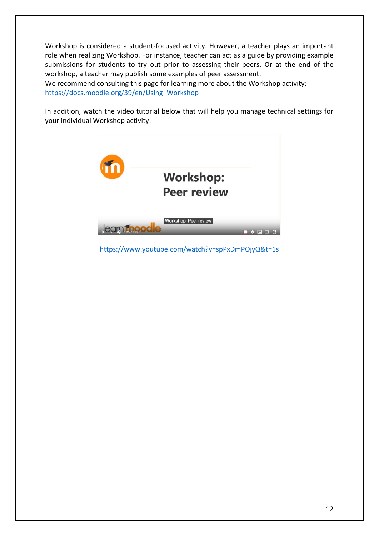Workshop is considered a student-focused activity. However, a teacher plays an important role when realizing Workshop. For instance, teacher can act as a guide by providing example submissions for students to try out prior to assessing their peers. Or at the end of the workshop, a teacher may publish some examples of peer assessment.

We recommend consulting this page for learning more about the Workshop activity: [https://docs.moodle.org/39/en/Using\\_Workshop](https://docs.moodle.org/39/en/Using_Workshop)

In addition, watch the video tutorial below that will help you manage technical settings for your individual Workshop activity:

![](_page_12_Picture_3.jpeg)

<https://www.youtube.com/watch?v=spPxDmPOjyQ&t=1s>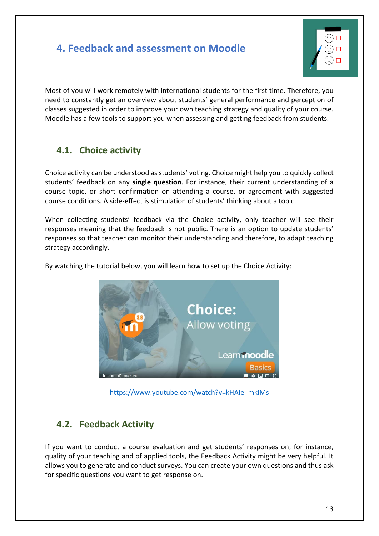## <span id="page-13-0"></span>**4. Feedback and assessment on Moodle**

![](_page_13_Picture_1.jpeg)

Most of you will work remotely with international students for the first time. Therefore, you need to constantly get an overview about students' general performance and perception of classes suggested in order to improve your own teaching strategy and quality of your course. Moodle has a few tools to support you when assessing and getting feedback from students.

#### <span id="page-13-1"></span>**4.1. Choice activity**

Choice activity can be understood as students' voting. Choice might help you to quickly collect students' feedback on any **single question**. For instance, their current understanding of a course topic, or short confirmation on attending a course, or agreement with suggested course conditions. A side-effect is stimulation of students' thinking about a topic.

When collecting students' feedback via the Choice activity, only teacher will see their responses meaning that the feedback is not public. There is an option to update students' responses so that teacher can monitor their understanding and therefore, to adapt teaching strategy accordingly.

By watching the tutorial below, you will learn how to set up the Choice Activity:

![](_page_13_Picture_7.jpeg)

[https://www.youtube.com/watch?v=kHAIe\\_mkiMs](https://www.youtube.com/watch?v=kHAIe_mkiMs)

#### <span id="page-13-2"></span>**4.2. Feedback Activity**

If you want to conduct a course evaluation and get students' responses on, for instance, quality of your teaching and of applied tools, the Feedback Activity might be very helpful. It allows you to generate and conduct surveys. You can create your own questions and thus ask for specific questions you want to get response on.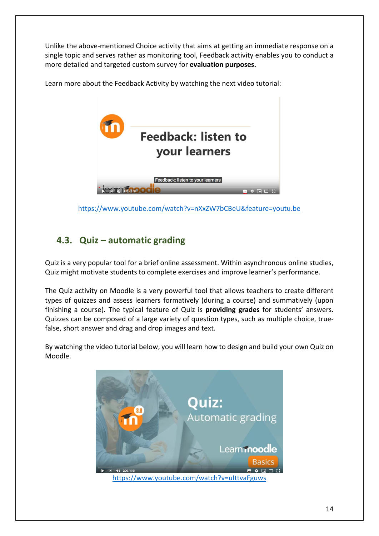Unlike the above-mentioned Choice activity that aims at getting an immediate response on a single topic and serves rather as monitoring tool, Feedback activity enables you to conduct a more detailed and targeted custom survey for **evaluation purposes.**

![](_page_14_Picture_1.jpeg)

Learn more about the Feedback Activity by watching the next video tutorial:

<https://www.youtube.com/watch?v=nXxZW7bCBeU&feature=youtu.be>

#### <span id="page-14-0"></span>**4.3. Quiz – automatic grading**

Quiz is a very popular tool for a brief online assessment. Within asynchronous online studies, Quiz might motivate students to complete exercises and improve learner's performance.

The Quiz activity on Moodle is a very powerful tool that allows teachers to create different types of quizzes and assess learners formatively (during a course) and summatively (upon finishing a course). The typical feature of Quiz is **providing grades** for students' answers. Quizzes can be composed of a large variety of question types, such as multiple choice, truefalse, short answer and drag and drop images and text.

By watching the video tutorial below, you will learn how to design and build your own Quiz on Moodle.

![](_page_14_Picture_8.jpeg)